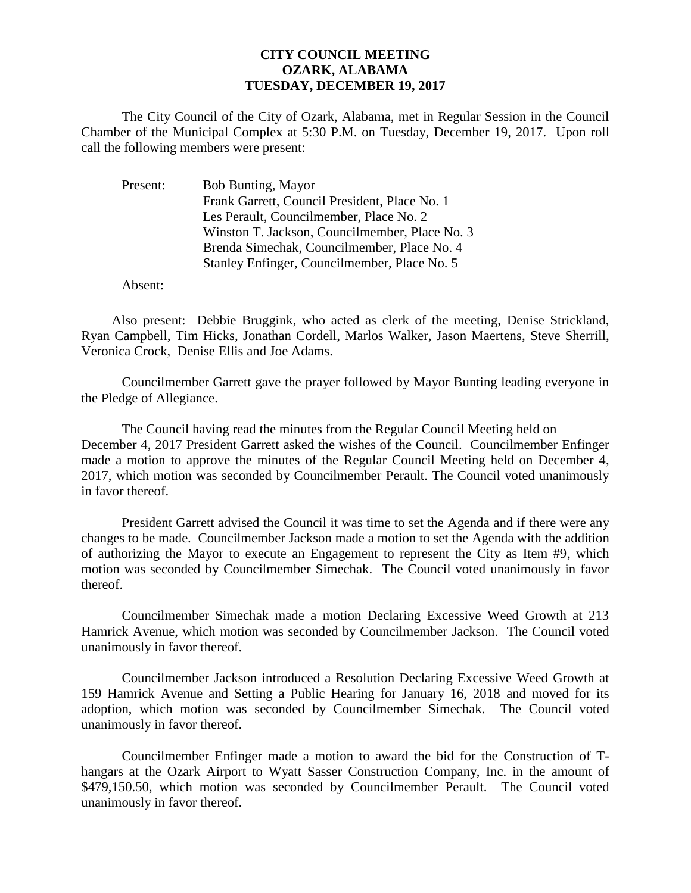## **CITY COUNCIL MEETING OZARK, ALABAMA TUESDAY, DECEMBER 19, 2017**

The City Council of the City of Ozark, Alabama, met in Regular Session in the Council Chamber of the Municipal Complex at 5:30 P.M. on Tuesday, December 19, 2017. Upon roll call the following members were present:

| Bob Bunting, Mayor                             |
|------------------------------------------------|
| Frank Garrett, Council President, Place No. 1  |
| Les Perault, Councilmember, Place No. 2        |
| Winston T. Jackson, Councilmember, Place No. 3 |
| Brenda Simechak, Councilmember, Place No. 4    |
| Stanley Enfinger, Councilmember, Place No. 5   |
|                                                |

Absent:

Also present: Debbie Bruggink, who acted as clerk of the meeting, Denise Strickland, Ryan Campbell, Tim Hicks, Jonathan Cordell, Marlos Walker, Jason Maertens, Steve Sherrill, Veronica Crock, Denise Ellis and Joe Adams.

Councilmember Garrett gave the prayer followed by Mayor Bunting leading everyone in the Pledge of Allegiance.

The Council having read the minutes from the Regular Council Meeting held on December 4, 2017 President Garrett asked the wishes of the Council. Councilmember Enfinger made a motion to approve the minutes of the Regular Council Meeting held on December 4, 2017, which motion was seconded by Councilmember Perault. The Council voted unanimously in favor thereof.

President Garrett advised the Council it was time to set the Agenda and if there were any changes to be made. Councilmember Jackson made a motion to set the Agenda with the addition of authorizing the Mayor to execute an Engagement to represent the City as Item #9, which motion was seconded by Councilmember Simechak. The Council voted unanimously in favor thereof.

Councilmember Simechak made a motion Declaring Excessive Weed Growth at 213 Hamrick Avenue, which motion was seconded by Councilmember Jackson. The Council voted unanimously in favor thereof.

Councilmember Jackson introduced a Resolution Declaring Excessive Weed Growth at 159 Hamrick Avenue and Setting a Public Hearing for January 16, 2018 and moved for its adoption, which motion was seconded by Councilmember Simechak. The Council voted unanimously in favor thereof.

Councilmember Enfinger made a motion to award the bid for the Construction of Thangars at the Ozark Airport to Wyatt Sasser Construction Company, Inc. in the amount of \$479,150.50, which motion was seconded by Councilmember Perault. The Council voted unanimously in favor thereof.